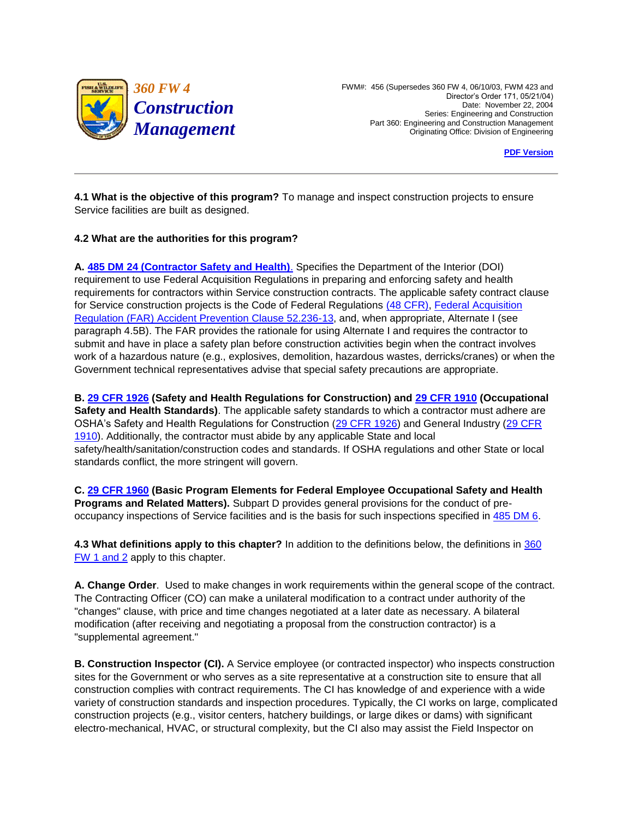

 *360 FW 4* FWM#: 456 (Supersedes 360 FW 4, 06/10/03, FWM 423 and Director's Order 171, 05/21/04) Part 360: Engineering and Construction Management Originating Office: Division of Engineering **Construction** Date: November 22, 2004 Series: Engineering and Construction

**PDF Version** 

**4.1 What is the objective of this program?** To manage and inspect construction projects to ensure Service facilities are built as designed.

## **4.2 What are the authorities for this program?**

 **A. [485 DM 24 \(Contractor Safety and Health\)](http://www.fws.gov/scripts/exit-to-fed.cfm?link=http://elips.doi.gov/app_dm/index.cfm?fuseaction=home&linkname=Departmental%20Manual)**. Specifies the Department of the Interior (DOI) requirement to use Federal Acquisition Regulations in preparing and enforcing safety and health for Service construction projects is the Code of Federal Regulations [\(48 CFR\),](http://www.fws.gov/scripts/exit-to-fed.cfm?link=http://www.gpoaccess.gov/ecfr/&linkname=eCFR) Federal Acquisition submit and have in place a safety plan before construction activities begin when the contract involves requirements for contractors within Service construction contracts. The applicable safety contract clause [Regulation \(FAR\) Accident Prevention Clause 52.236-13,](http://www.fws.gov/scripts/exit-to-fed.cfm?link=http://acquisition.gov/far/index.html&linkname=Federal%20Acquisition%20Regulation) and, when appropriate, Alternate I (see paragraph 4.5B). The FAR provides the rationale for using Alternate I and requires the contractor to work of a hazardous nature (e.g., explosives, demolition, hazardous wastes, derricks/cranes) or when the Government technical representatives advise that special safety precautions are appropriate.

 **B. [29 CFR 1926 \(](http://www.fws.gov/scripts/exit-to-fed.cfm?link=http://www.gpoaccess.gov/ecfr/&linkname=eCFR)Safety and Health Regulations for Construction) and [29 CFR 1910](http://www.fws.gov/scripts/exit-to-fed.cfm?link=http://www.gpoaccess.gov/ecfr/&linkname=eCFR) (Occupational**  [1910\)](http://www.fws.gov/scripts/exit-to-fed.cfm?link=http://www.gpoaccess.gov/ecfr/&linkname=eCFR). Additionally, the contractor must abide by any applicable State and local safety/health/sanitation/construction codes and standards. If OSHA regulations and other State or local standards conflict, the more stringent will govern. **Safety and Health Standards)**. The applicable safety standards to which a contractor must adhere are OSHA's Safety and Health Regulations for Construction [\(29 CFR 1926\)](http://www.fws.gov/scripts/exit-to-fed.cfm?link=http://www.gpoaccess.gov/ecfr/&linkname=eCFR) and General Industry [\(29 CFR](http://www.fws.gov/scripts/exit-to-fed.cfm?link=http://www.gpoaccess.gov/ecfr/&linkname=eCFR) 

**C. [29 CFR 1960 \(](http://www.fws.gov/scripts/exit-to-fed.cfm?link=http://www.gpoaccess.gov/ecfr/&linkname=eCFR)Basic Program Elements for Federal Employee Occupational Safety and Health Programs and Related Matters).** Subpart D provides general provisions for the conduct of preoccupancy inspections of Service facilities and is the basis for such inspections specified in [485 DM 6.](http://www.fws.gov/scripts/exit-to-fed.cfm?link=http://elips.doi.gov/app_dm/index.cfm?fuseaction=home&linkname=Departmental%20Manual)

**4.3 What definitions apply to this chapter?** In addition to the definitions below, the definitions in [360](http://www.fws.gov/policy/manuals/part.cfm?series=300&seriestitle=LOGISTICS#360)  [FW 1 and 2](http://www.fws.gov/policy/manuals/part.cfm?series=300&seriestitle=LOGISTICS#360) apply to this chapter.

 **A. Change Order**. Used to make changes in work requirements within the general scope of the contract. "changes" clause, with price and time changes negotiated at a later date as necessary. A bilateral The Contracting Officer (CO) can make a unilateral modification to a contract under authority of the modification (after receiving and negotiating a proposal from the construction contractor) is a "supplemental agreement."

 construction complies with contract requirements. The CI has knowledge of and experience with a wide **B. Construction Inspector (CI).** A Service employee (or contracted inspector) who inspects construction sites for the Government or who serves as a site representative at a construction site to ensure that all variety of construction standards and inspection procedures. Typically, the CI works on large, complicated construction projects (e.g., visitor centers, hatchery buildings, or large dikes or dams) with significant electro-mechanical, HVAC, or structural complexity, but the CI also may assist the Field Inspector on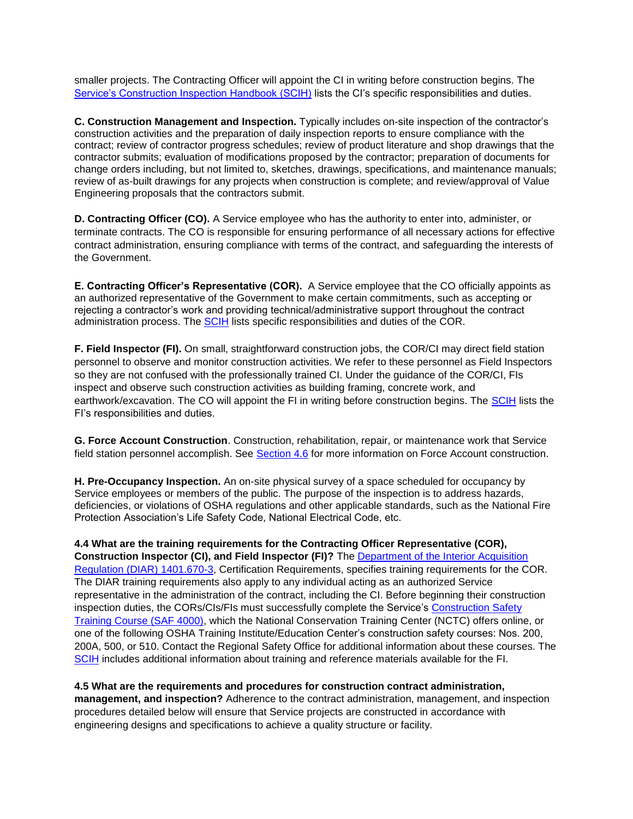smaller projects. The Contracting Officer will appoint the CI in writing before construction begins. The [Service's Construction Inspection Handbook \(SCIH\)](http://policy.fws.gov/consthdbk-1.pdf) lists the CI's specific responsibilities and duties.

 construction activities and the preparation of daily inspection reports to ensure compliance with the **C. Construction Management and Inspection.** Typically includes on-site inspection of the contractor's contract; review of contractor progress schedules; review of product literature and shop drawings that the contractor submits; evaluation of modifications proposed by the contractor; preparation of documents for change orders including, but not limited to, sketches, drawings, specifications, and maintenance manuals; review of as-built drawings for any projects when construction is complete; and review/approval of Value Engineering proposals that the contractors submit.

 contract administration, ensuring compliance with terms of the contract, and safeguarding the interests of **D. Contracting Officer (CO).** A Service employee who has the authority to enter into, administer, or terminate contracts. The CO is responsible for ensuring performance of all necessary actions for effective the Government.

 **E. Contracting Officer's Representative (COR).** A Service employee that the CO officially appoints as administration process. The **SCIH** lists specific responsibilities and duties of the COR. an authorized representative of the Government to make certain commitments, such as accepting or rejecting a contractor's work and providing technical/administrative support throughout the contract

earthwork/excavation. The CO will appoint the FI in writing before construction begins. The [SCIH](http://policy.fws.gov/consthdbk-1.pdf) lists the **F. Field Inspector (FI).** On small, straightforward construction jobs, the COR/CI may direct field station personnel to observe and monitor construction activities. We refer to these personnel as Field Inspectors so they are not confused with the professionally trained CI. Under the guidance of the COR/CI, FIs inspect and observe such construction activities as building framing, concrete work, and FI's responsibilities and duties.

**G. Force Account Construction**. Construction, rehabilitation, repair, or maintenance work that Service field station personnel accomplish. See [Section 4.6](http://www.fws.gov/policy/360fw4.html#Section46) for more information on Force Account construction.

**H. Pre-Occupancy Inspection.** An on-site physical survey of a space scheduled for occupancy by Service employees or members of the public. The purpose of the inspection is to address hazards, deficiencies, or violations of OSHA regulations and other applicable standards, such as the National Fire Protection Association's Life Safety Code, National Electrical Code, etc.

 The DIAR training requirements also apply to any individual acting as an authorized Service inspection duties, the CORs/CIs/FIs must successfully complete the Service's Construction Safety [SCIH](http://policy.fws.gov/consthdbk-1.pdf) includes additional information about training and reference materials available for the FI. **4.4 What are the training requirements for the Contracting Officer Representative (COR), Construction Inspector (CI), and Field Inspector (FI)?** The [Department of the Interior Acquisition](http://www.fws.gov/scripts/exit-to-fed.cfm?link=http://www.doi.gov/pam/aindex.html&linkname=DIAR)  [Regulation \(DIAR\) 1401.670-3,](http://www.fws.gov/scripts/exit-to-fed.cfm?link=http://www.doi.gov/pam/aindex.html&linkname=DIAR) Certification Requirements, specifies training requirements for the COR. representative in the administration of the contract, including the CI. Before beginning their construction [Training Course \(SAF 4000\),](http://training.fws.gov/catalog/coursecontents.html) which the National Conservation Training Center (NCTC) offers online, or one of the following OSHA Training Institute/Education Center's construction safety courses: Nos. 200, 200A, 500, or 510. Contact the Regional Safety Office for additional information about these courses. The

 **management, and inspection?** Adherence to the contract administration, management, and inspection procedures detailed below will ensure that Service projects are constructed in accordance with **4.5 What are the requirements and procedures for construction contract administration,**  engineering designs and specifications to achieve a quality structure or facility.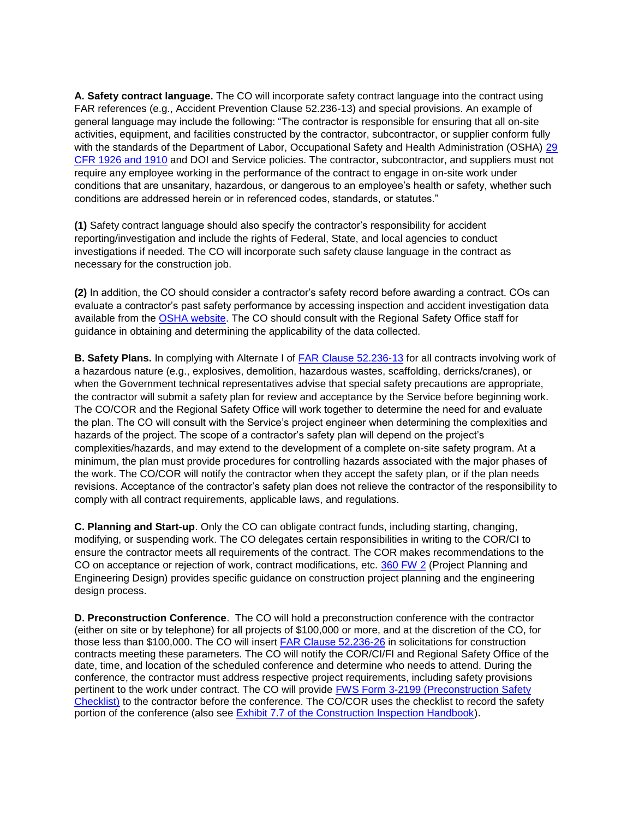**A. Safety contract language.** The CO will incorporate safety contract language into the contract using activities, equipment, and facilities constructed by the contractor, subcontractor, or supplier conform fully FAR references (e.g., Accident Prevention Clause 52.236-13) and special provisions. An example of general language may include the following: "The contractor is responsible for ensuring that all on-site with the standards of the Department of Labor, Occupational Safety and Health Administration (OSHA) [29](http://www.fws.gov/scripts/exit-to-fed.cfm?link=http://www.gpoaccess.gov/ecfr/&linkname=eCFR)  [CFR 1926 and 1910](http://www.fws.gov/scripts/exit-to-fed.cfm?link=http://www.gpoaccess.gov/ecfr/&linkname=eCFR) and DOI and Service policies. The contractor, subcontractor, and suppliers must not require any employee working in the performance of the contract to engage in on-site work under conditions that are unsanitary, hazardous, or dangerous to an employee's health or safety, whether such conditions are addressed herein or in referenced codes, standards, or statutes."

 investigations if needed. The CO will incorporate such safety clause language in the contract as necessary for the construction job. **(1)** Safety contract language should also specify the contractor's responsibility for accident reporting/investigation and include the rights of Federal, State, and local agencies to conduct

 evaluate a contractor's past safety performance by accessing inspection and accident investigation data available from the [OSHA website.](http://www.fws.gov/scripts/exit-to-fed.cfm?link=%20%20http://www.osha.gov/oshstats/index.html&linkname=OSHA’s%20Statistics%20and%20Data%20Web%20site) The CO should consult with the Regional Safety Office staff for **(2)** In addition, the CO should consider a contractor's safety record before awarding a contract. COs can guidance in obtaining and determining the applicability of the data collected.

 The CO/COR and the Regional Safety Office will work together to determine the need for and evaluate the work. The CO/COR will notify the contractor when they accept the safety plan, or if the plan needs **B. Safety Plans.** In complying with Alternate I of [FAR Clause 52.236-13](http://www.fws.gov/scripts/exit-to-fed.cfm?link=http://acquisition.gov/far/index.html&linkname=Federal%20Acquisition%20Regulation) for all contracts involving work of a hazardous nature (e.g., explosives, demolition, hazardous wastes, scaffolding, derricks/cranes), or when the Government technical representatives advise that special safety precautions are appropriate, the contractor will submit a safety plan for review and acceptance by the Service before beginning work. the plan. The CO will consult with the Service's project engineer when determining the complexities and hazards of the project. The scope of a contractor's safety plan will depend on the project's complexities/hazards, and may extend to the development of a complete on-site safety program. At a minimum, the plan must provide procedures for controlling hazards associated with the major phases of revisions. Acceptance of the contractor's safety plan does not relieve the contractor of the responsibility to comply with all contract requirements, applicable laws, and regulations.

 ensure the contractor meets all requirements of the contract. The COR makes recommendations to the CO on acceptance or rejection of work, contract modifications, etc. [360 FW 2](http://policy.fws.gov/360fw2.html) (Project Planning and Engineering Design) provides specific guidance on construction project planning and the engineering **C. Planning and Start-up**. Only the CO can obligate contract funds, including starting, changing, modifying, or suspending work. The CO delegates certain responsibilities in writing to the COR/CI to design process.

pertinent to the work under contract. The CO will provide **FWS Form 3-2199 (Preconstruction Safety D. Preconstruction Conference**. The CO will hold a preconstruction conference with the contractor (either on site or by telephone) for all projects of \$100,000 or more, and at the discretion of the CO, for those less than \$100,000. The CO will insert [FAR Clause 52.236-26](http://www.fws.gov/scripts/exit-to-fed.cfm?link=http://acquisition.gov/far/index.html&linkname=Federal%20Acquisition%20Regulation) in solicitations for construction contracts meeting these parameters. The CO will notify the COR/CI/FI and Regional Safety Office of the date, time, and location of the scheduled conference and determine who needs to attend. During the conference, the contractor must address respective project requirements, including safety provisions [Checklist\)](http://forms.fws.gov/3-2199.pdf) to the contractor before the conference. The CO/COR uses the checklist to record the safety portion of the conference (also see [Exhibit 7.7 of the Construction Inspection Handbook\)](http://policy.fws.gov/consthdbk-1.pdf).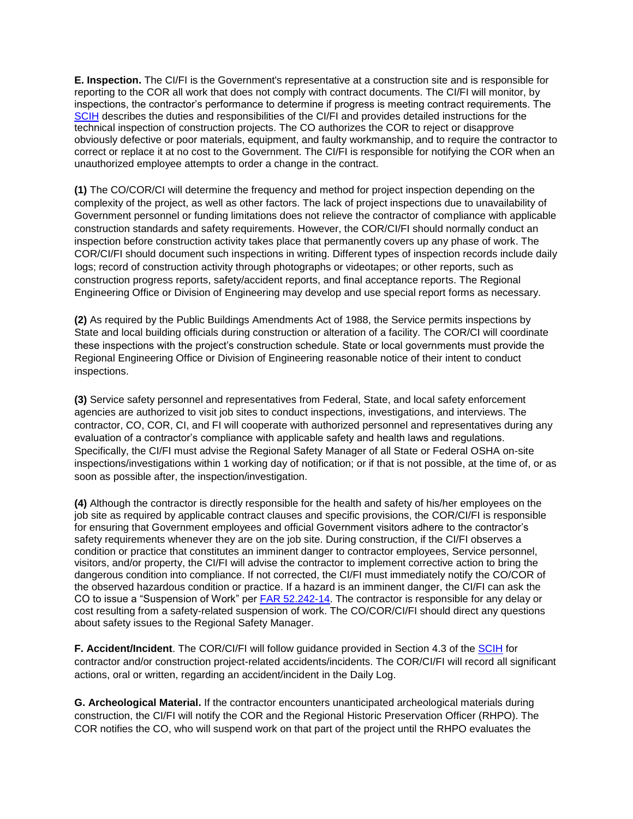**E. Inspection.** The CI/FI is the Government's representative at a construction site and is responsible for reporting to the COR all work that does not comply with contract documents. The CI/FI will monitor, by inspections, the contractor's performance to determine if progress is meeting contract requirements. The [SCIH](http://policy.fws.gov/consthdbk-1.pdf) describes the duties and responsibilities of the CI/FI and provides detailed instructions for the technical inspection of construction projects. The CO authorizes the COR to reject or disapprove obviously defective or poor materials, equipment, and faulty workmanship, and to require the contractor to correct or replace it at no cost to the Government. The CI/FI is responsible for notifying the COR when an unauthorized employee attempts to order a change in the contract.

 complexity of the project, as well as other factors. The lack of project inspections due to unavailability of **(1)** The CO/COR/CI will determine the frequency and method for project inspection depending on the Government personnel or funding limitations does not relieve the contractor of compliance with applicable construction standards and safety requirements. However, the COR/CI/FI should normally conduct an inspection before construction activity takes place that permanently covers up any phase of work. The COR/CI/FI should document such inspections in writing. Different types of inspection records include daily logs; record of construction activity through photographs or videotapes; or other reports, such as construction progress reports, safety/accident reports, and final acceptance reports. The Regional Engineering Office or Division of Engineering may develop and use special report forms as necessary.

 these inspections with the project's construction schedule. State or local governments must provide the **(2)** As required by the Public Buildings Amendments Act of 1988, the Service permits inspections by State and local building officials during construction or alteration of a facility. The COR/CI will coordinate Regional Engineering Office or Division of Engineering reasonable notice of their intent to conduct inspections.

 Specifically, the CI/FI must advise the Regional Safety Manager of all State or Federal OSHA on-site **(3)** Service safety personnel and representatives from Federal, State, and local safety enforcement agencies are authorized to visit job sites to conduct inspections, investigations, and interviews. The contractor, CO, COR, CI, and FI will cooperate with authorized personnel and representatives during any evaluation of a contractor's compliance with applicable safety and health laws and regulations. inspections/investigations within 1 working day of notification; or if that is not possible, at the time of, or as soon as possible after, the inspection/investigation.

 job site as required by applicable contract clauses and specific provisions, the COR/CI/FI is responsible dangerous condition into compliance. If not corrected, the CI/FI must immediately notify the CO/COR of CO to issue a "Suspension of Work" per **FAR 52.242-14**. The contractor is responsible for any delay or cost resulting from a safety-related suspension of work. The CO/COR/CI/FI should direct any questions about safety issues to the Regional Safety Manager. **(4)** Although the contractor is directly responsible for the health and safety of his/her employees on the for ensuring that Government employees and official Government visitors adhere to the contractor's safety requirements whenever they are on the job site. During construction, if the CI/FI observes a condition or practice that constitutes an imminent danger to contractor employees, Service personnel, visitors, and/or property, the CI/FI will advise the contractor to implement corrective action to bring the the observed hazardous condition or practice. If a hazard is an imminent danger, the CI/FI can ask the

 actions, oral or written, regarding an accident/incident in the Daily Log. **F. Accident/Incident**. The COR/CI/FI will follow guidance provided in Section 4.3 of the [SCIH](http://policy.fws.gov/consthdbk-1.pdf) for contractor and/or construction project-related accidents/incidents. The COR/CI/FI will record all significant

 **G. Archeological Material.** If the contractor encounters unanticipated archeological materials during construction, the CI/FI will notify the COR and the Regional Historic Preservation Officer (RHPO). The COR notifies the CO, who will suspend work on that part of the project until the RHPO evaluates the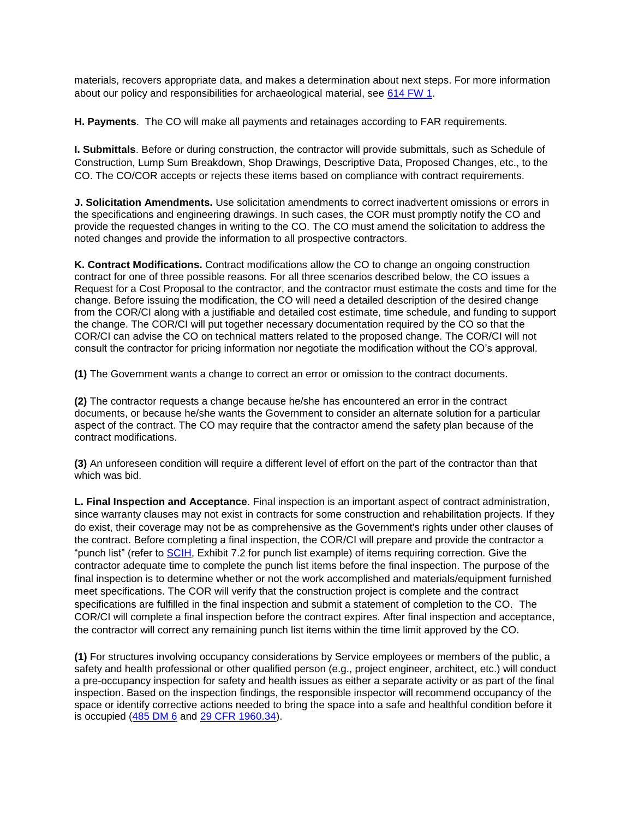materials, recovers appropriate data, and makes a determination about next steps. For more information about our policy and responsibilities for archaeological material, see [614 FW 1.](http://policy.fws.gov/614fw1.html)

**H. Payments**. The CO will make all payments and retainages according to FAR requirements.

**I. Submittals**. Before or during construction, the contractor will provide submittals, such as Schedule of Construction, Lump Sum Breakdown, Shop Drawings, Descriptive Data, Proposed Changes, etc., to the CO. The CO/COR accepts or rejects these items based on compliance with contract requirements.

**J. Solicitation Amendments.** Use solicitation amendments to correct inadvertent omissions or errors in the specifications and engineering drawings. In such cases, the COR must promptly notify the CO and provide the requested changes in writing to the CO. The CO must amend the solicitation to address the noted changes and provide the information to all prospective contractors.

 the change. The COR/CI will put together necessary documentation required by the CO so that the COR/CI can advise the CO on technical matters related to the proposed change. The COR/CI will not **K. Contract Modifications.** Contract modifications allow the CO to change an ongoing construction contract for one of three possible reasons. For all three scenarios described below, the CO issues a Request for a Cost Proposal to the contractor, and the contractor must estimate the costs and time for the change. Before issuing the modification, the CO will need a detailed description of the desired change from the COR/CI along with a justifiable and detailed cost estimate, time schedule, and funding to support consult the contractor for pricing information nor negotiate the modification without the CO's approval.

**(1)** The Government wants a change to correct an error or omission to the contract documents.

 aspect of the contract. The CO may require that the contractor amend the safety plan because of the **(2)** The contractor requests a change because he/she has encountered an error in the contract documents, or because he/she wants the Government to consider an alternate solution for a particular contract modifications.

**(3)** An unforeseen condition will require a different level of effort on the part of the contractor than that which was bid.

 the contract. Before completing a final inspection, the COR/CI will prepare and provide the contractor a final inspection is to determine whether or not the work accomplished and materials/equipment furnished specifications are fulfilled in the final inspection and submit a statement of completion to the CO. The **L. Final Inspection and Acceptance**. Final inspection is an important aspect of contract administration, since warranty clauses may not exist in contracts for some construction and rehabilitation projects. If they do exist, their coverage may not be as comprehensive as the Government's rights under other clauses of "punch list" (refer to [SCIH,](http://policy.fws.gov/consthdbk-1.pdf) Exhibit 7.2 for punch list example) of items requiring correction. Give the contractor adequate time to complete the punch list items before the final inspection. The purpose of the meet specifications. The COR will verify that the construction project is complete and the contract COR/CI will complete a final inspection before the contract expires. After final inspection and acceptance, the contractor will correct any remaining punch list items within the time limit approved by the CO.

 space or identify corrective actions needed to bring the space into a safe and healthful condition before it is occupied [\(485 DM 6](http://www.fws.gov/scripts/exit-to-fed.cfm?link=http://elips.doi.gov/app_dm/index.cfm?fuseaction=home&linkname=Departmental%20Manual) and [29 CFR 1960.34\)](http://www.fws.gov/scripts/exit-to-fed.cfm?link=http://www.gpoaccess.gov/ecfr/&linkname=eCFR). **(1)** For structures involving occupancy considerations by Service employees or members of the public, a safety and health professional or other qualified person (e.g., project engineer, architect, etc.) will conduct a pre-occupancy inspection for safety and health issues as either a separate activity or as part of the final inspection. Based on the inspection findings, the responsible inspector will recommend occupancy of the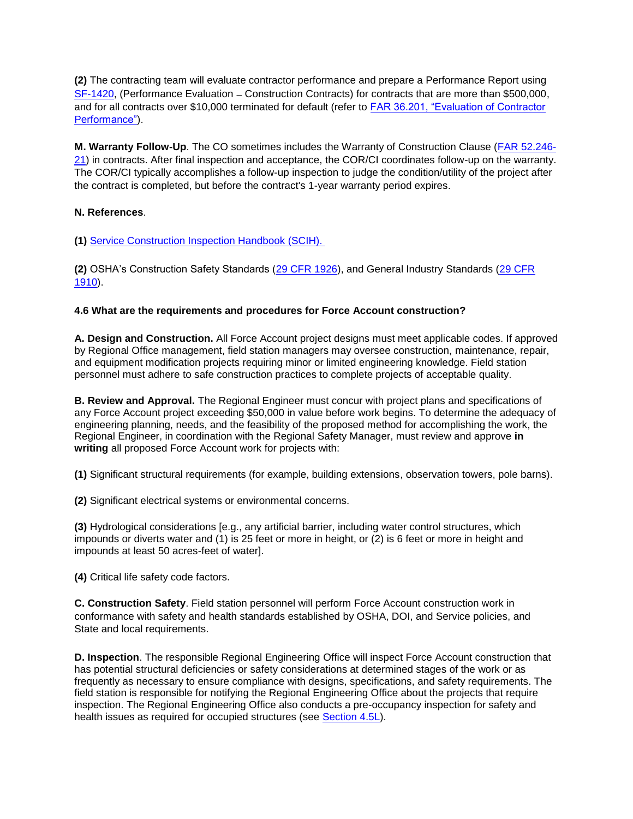$SF-1420$ , (Performance Evaluation – Construction Contracts) for contracts that are more than \$500,000, **(2)** The contracting team will evaluate contractor performance and prepare a Performance Report using and for all contracts over \$10,000 terminated for default (refer to [FAR 36.201, "Evaluation of Contractor](http://www.fws.gov/scripts/exit-to-fed.cfm?link=http://acquisition.gov/far/index.html&linkname=Federal%20Acquisition%20Regulation)  [Performance"\)](http://www.fws.gov/scripts/exit-to-fed.cfm?link=http://acquisition.gov/far/index.html&linkname=Federal%20Acquisition%20Regulation).

 the contract is completed, but before the contract's 1-year warranty period expires. **M. Warranty Follow-Up**. The CO sometimes includes the Warranty of Construction Clause [\(FAR 52.246-](http://www.fws.gov/scripts/exit-to-fed.cfm?link=http://acquisition.gov/far/index.html&linkname=Federal%20Acquisition%20Regulation) [21\)](http://www.fws.gov/scripts/exit-to-fed.cfm?link=http://acquisition.gov/far/index.html&linkname=Federal%20Acquisition%20Regulation) in contracts. After final inspection and acceptance, the COR/CI coordinates follow-up on the warranty. The COR/CI typically accomplishes a follow-up inspection to judge the condition/utility of the project after

## **N. References**.

**(1)** [Service Construction Inspection Handbook \(SCIH\).](http://policy.fws.gov/consthdbk-1.pdf) 

**(2)** OSHA's Construction Safety Standards [\(29 CFR 1926\)](http://www.fws.gov/scripts/exit-to-fed.cfm?link=http://www.gpoaccess.gov/ecfr/&linkname=eCFR), and General Industry Standards [\(29 CFR](http://www.fws.gov/scripts/exit-to-fed.cfm?link=http://www.gpoaccess.gov/ecfr/&linkname=eCFR)  [1910\)](http://www.fws.gov/scripts/exit-to-fed.cfm?link=http://www.gpoaccess.gov/ecfr/&linkname=eCFR).

## **4.6 What are the requirements and procedures for Force Account construction?**

 by Regional Office management, field station managers may oversee construction, maintenance, repair, **A. Design and Construction.** All Force Account project designs must meet applicable codes. If approved and equipment modification projects requiring minor or limited engineering knowledge. Field station personnel must adhere to safe construction practices to complete projects of acceptable quality.

 any Force Account project exceeding \$50,000 in value before work begins. To determine the adequacy of Regional Engineer, in coordination with the Regional Safety Manager, must review and approve **in B. Review and Approval.** The Regional Engineer must concur with project plans and specifications of engineering planning, needs, and the feasibility of the proposed method for accomplishing the work, the **writing** all proposed Force Account work for projects with:

**(1)** Significant structural requirements (for example, building extensions, observation towers, pole barns).

**(2)** Significant electrical systems or environmental concerns.

 impounds or diverts water and (1) is 25 feet or more in height, or (2) is 6 feet or more in height and impounds at least 50 acres-feet of water]. **(3)** Hydrological considerations [e.g., any artificial barrier, including water control structures, which

**(4)** Critical life safety code factors.

**C. Construction Safety**. Field station personnel will perform Force Account construction work in conformance with safety and health standards established by OSHA, DOI, and Service policies, and State and local requirements.

 has potential structural deficiencies or safety considerations at determined stages of the work or as **D. Inspection**. The responsible Regional Engineering Office will inspect Force Account construction that frequently as necessary to ensure compliance with designs, specifications, and safety requirements. The field station is responsible for notifying the Regional Engineering Office about the projects that require inspection. The Regional Engineering Office also conducts a pre-occupancy inspection for safety and health issues as required for occupied structures (see **Section 4.5L**).